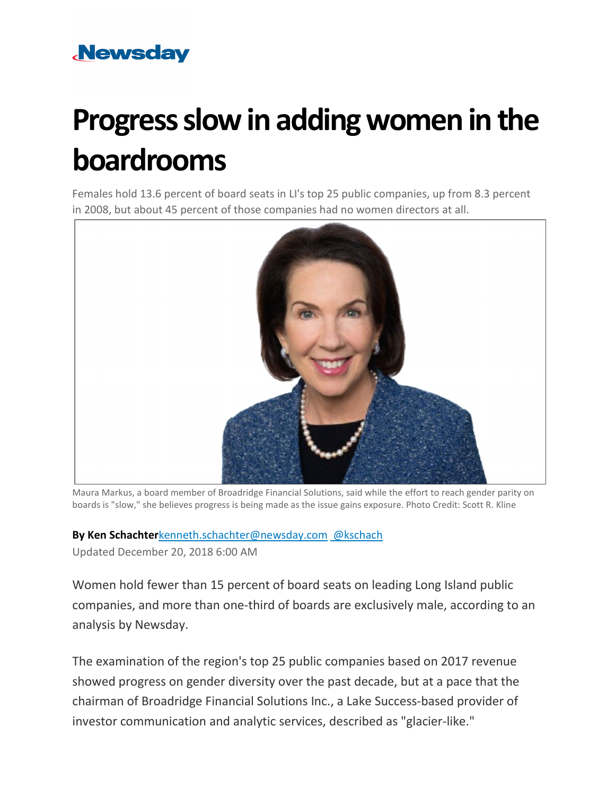# **Newsday**

# **Progress slow in adding women in the boardrooms**

Females hold 13.6 percent of board seats in LI's top 25 public companies, up from 8.3 percent in 2008, but about 45 percent of those companies had no women directors at all.



Maura Markus, a board member of Broadridge Financial Solutions, said while the effort to reach gender parity on boards is "slow," she believes progress is being made as the issue gains exposure. Photo Credit: Scott R. Kline

## **By Ken Schachter**[kenneth.schachter@newsday.com](mailto:kenneth.schachter@newsday.com?subject=Progress%20slow%20in%20adding%20women%20in%20the%20boardrooms&body=Females%20hold%C2%A013.6%20percent%20of%20board%20seats%20in%20LI%27s%C2%A0top%2025%20public%20companies,%20up%20from%208.3%20percent%20in%202008,%20but%20about%C2%A045%C2%A0percent%20of%C2%A0those%C2%A0companies%20had%20no%20women%20directors%20at%20all.%0D%0Ahttps://www.newsday.com/business/women-board-director-long-island-1.24753036) [@kschach](https://twitter.com/kschach)

Updated December 20, 2018 6:00 AM

Women hold fewer than 15 percent of board seats on leading Long Island public companies, and more than one-third of boards are exclusively male, according to an analysis by Newsday.

The examination of the region's top 25 public companies based on 2017 revenue showed progress on gender diversity over the past decade, but at a pace that the chairman of Broadridge Financial Solutions Inc., a Lake Success-based provider of investor communication and analytic services, described as "glacier-like."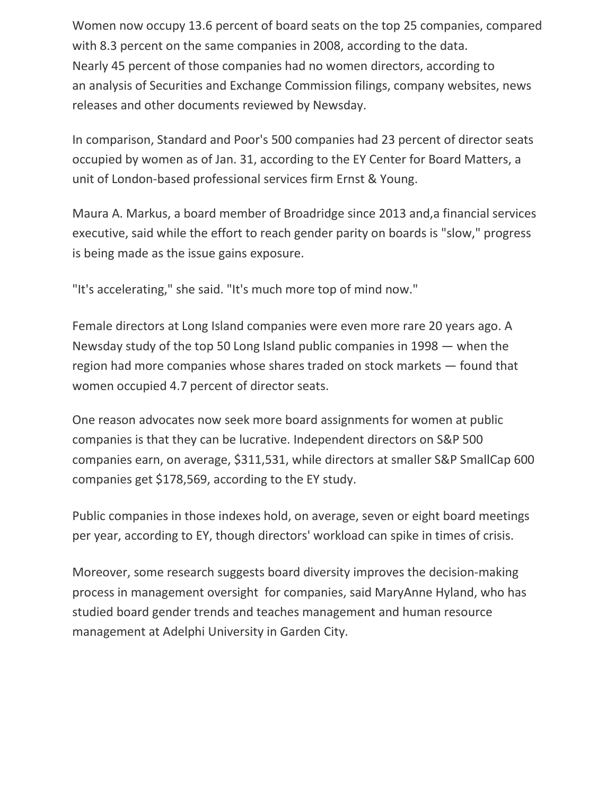Women now occupy 13.6 percent of board seats on the top 25 companies, compared with 8.3 percent on the same companies in 2008, according to the data. Nearly 45 percent of those companies had no women directors, according to an analysis of Securities and Exchange Commission filings, company websites, news releases and other documents reviewed by Newsday.

In comparison, Standard and Poor's 500 companies had 23 percent of director seats occupied by women as of Jan. 31, according to the EY Center for Board Matters, a unit of London-based professional services firm Ernst & Young.

Maura A. Markus, a board member of Broadridge since 2013 and,a financial services executive, said while the effort to reach gender parity on boards is "slow," progress is being made as the issue gains exposure.

"It's accelerating," she said. "It's much more top of mind now."

Female directors at Long Island companies were even more rare 20 years ago. A Newsday study of the top 50 Long Island public companies in 1998 — when the region had more companies whose shares traded on stock markets — found that women occupied 4.7 percent of director seats.

One reason advocates now seek more board assignments for women at public companies is that they can be lucrative. Independent directors on S&P 500 companies earn, on average, \$311,531, while directors at smaller S&P SmallCap 600 companies get \$178,569, according to the EY study.

Public companies in those indexes hold, on average, seven or eight board meetings per year, according to EY, though directors' workload can spike in times of crisis.

Moreover, some research suggests board diversity improves the decision-making process in management oversight for companies, said MaryAnne Hyland, who has studied board gender trends and teaches management and human resource management at Adelphi University in Garden City.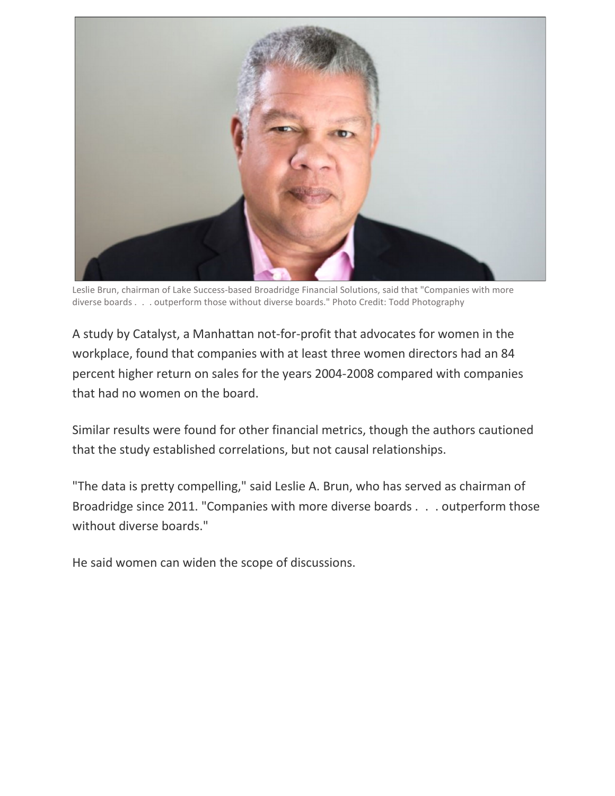

Leslie Brun, chairman of Lake Success-based Broadridge Financial Solutions, said that "Companies with more diverse boards . . . outperform those without diverse boards." Photo Credit: Todd Photography

A study by Catalyst, a Manhattan not-for-profit that advocates for women in the workplace, found that companies with at least three women directors had an 84 percent higher return on sales for the years 2004-2008 compared with companies that had no women on the board.

Similar results were found for other financial metrics, though the authors cautioned that the study established correlations, but not causal relationships.

"The data is pretty compelling," said Leslie A. Brun, who has served as chairman of Broadridge since 2011. "Companies with more diverse boards . . . outperform those without diverse boards."

He said women can widen the scope of discussions.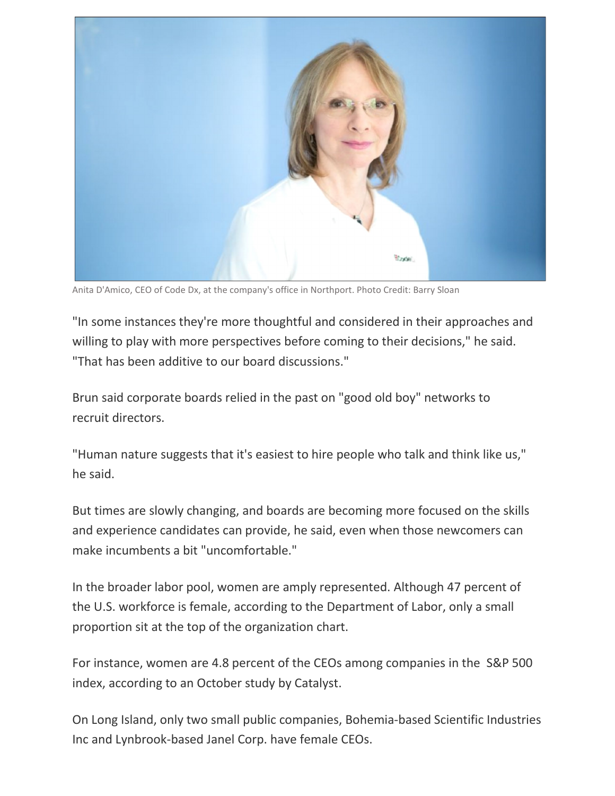

Anita D'Amico, CEO of Code Dx, at the company's office in Northport. Photo Credit: Barry Sloan

"In some instances they're more thoughtful and considered in their approaches and willing to play with more perspectives before coming to their decisions," he said. "That has been additive to our board discussions."

Brun said corporate boards relied in the past on "good old boy" networks to recruit directors.

"Human nature suggests that it's easiest to hire people who talk and think like us," he said.

But times are slowly changing, and boards are becoming more focused on the skills and experience candidates can provide, he said, even when those newcomers can make incumbents a bit "uncomfortable."

In the broader labor pool, women are amply represented. Although 47 percent of the U.S. workforce is female, according to the Department of Labor, only a small proportion sit at the top of the organization chart.

For instance, women are 4.8 percent of the CEOs among companies in the S&P 500 index, according to an October study by Catalyst.

On Long Island, only two small public companies, Bohemia-based Scientific Industries Inc and Lynbrook-based Janel Corp. have female CEOs.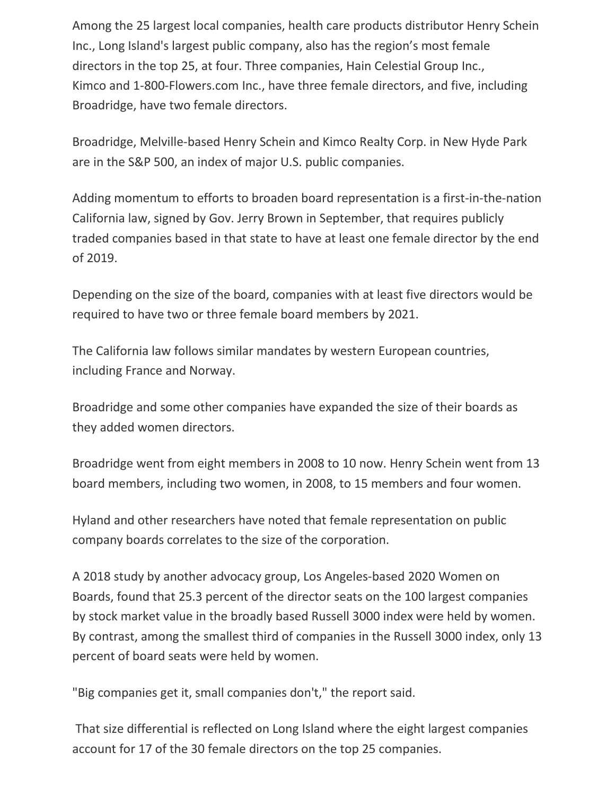Among the 25 largest local companies, health care products distributor Henry Schein Inc., Long Island's largest public company, also has the region's most female directors in the top 25, at four. Three companies, Hain Celestial Group Inc., Kimco and 1-800-Flowers.com Inc., have three female directors, and five, including Broadridge, have two female directors.

Broadridge, Melville-based Henry Schein and Kimco Realty Corp. in New Hyde Park are in the S&P 500, an index of major U.S. public companies.

Adding momentum to efforts to broaden board representation is a first-in-the-nation California law, signed by Gov. Jerry Brown in September, that requires publicly traded companies based in that state to have at least one female director by the end of 2019.

Depending on the size of the board, companies with at least five directors would be required to have two or three female board members by 2021.

The California law follows similar mandates by western European countries, including France and Norway.

Broadridge and some other companies have expanded the size of their boards as they added women directors.

Broadridge went from eight members in 2008 to 10 now. Henry Schein went from 13 board members, including two women, in 2008, to 15 members and four women.

Hyland and other researchers have noted that female representation on public company boards correlates to the size of the corporation.

A 2018 study by another advocacy group, Los Angeles-based 2020 Women on Boards, found that 25.3 percent of the director seats on the 100 largest companies by stock market value in the broadly based Russell 3000 index were held by women. By contrast, among the smallest third of companies in the Russell 3000 index, only 13 percent of board seats were held by women.

"Big companies get it, small companies don't," the report said.

That size differential is reflected on Long Island where the eight largest companies account for 17 of the 30 female directors on the top 25 companies.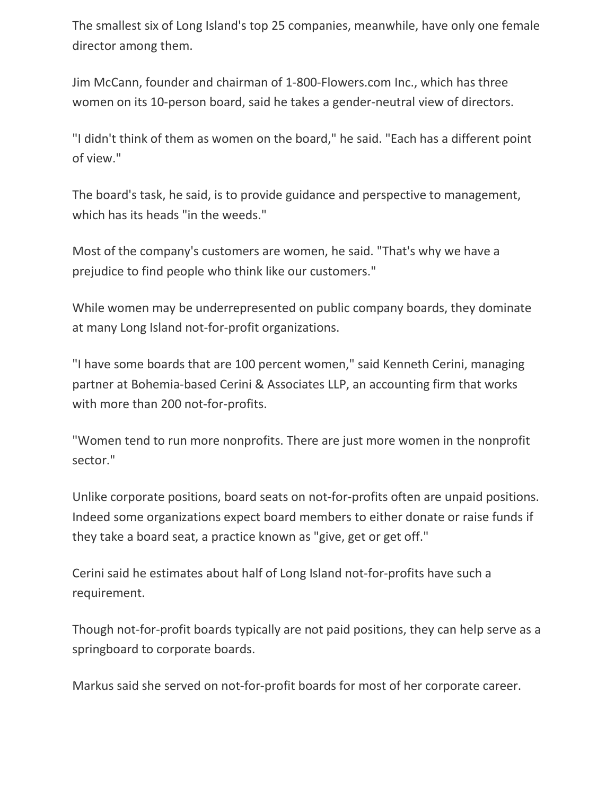The smallest six of Long Island's top 25 companies, meanwhile, have only one female director among them.

Jim McCann, founder and chairman of 1-800-Flowers.com Inc., which has three women on its 10-person board, said he takes a gender-neutral view of directors.

"I didn't think of them as women on the board," he said. "Each has a different point of view."

The board's task, he said, is to provide guidance and perspective to management, which has its heads "in the weeds."

Most of the company's customers are women, he said. "That's why we have a prejudice to find people who think like our customers."

While women may be underrepresented on public company boards, they dominate at many Long Island not-for-profit organizations.

"I have some boards that are 100 percent women," said Kenneth Cerini, managing partner at Bohemia-based Cerini & Associates LLP, an accounting firm that works with more than 200 not-for-profits.

"Women tend to run more nonprofits. There are just more women in the nonprofit sector."

Unlike corporate positions, board seats on not-for-profits often are unpaid positions. Indeed some organizations expect board members to either donate or raise funds if they take a board seat, a practice known as "give, get or get off."

Cerini said he estimates about half of Long Island not-for-profits have such a requirement.

Though not-for-profit boards typically are not paid positions, they can help serve as a springboard to corporate boards.

Markus said she served on not-for-profit boards for most of her corporate career.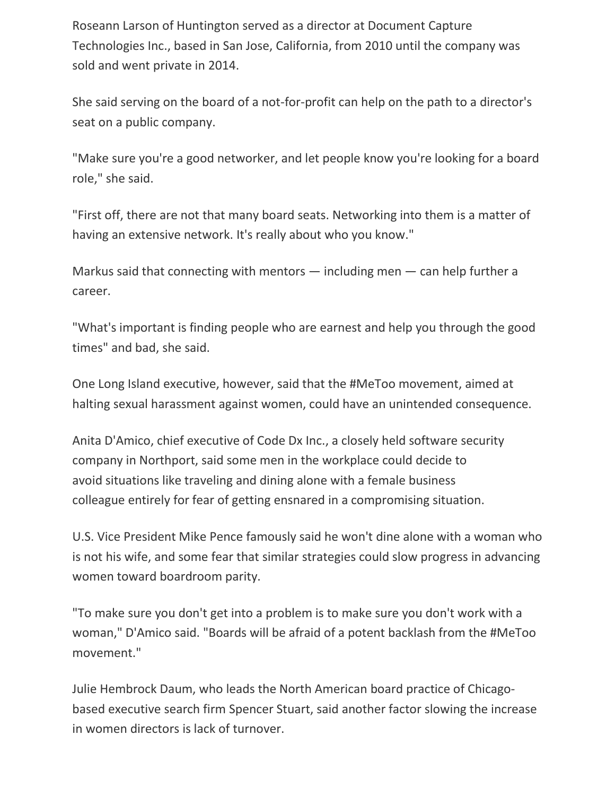Roseann Larson of Huntington served as a director at Document Capture Technologies Inc., based in San Jose, California, from 2010 until the company was sold and went private in 2014.

She said serving on the board of a not-for-profit can help on the path to a director's seat on a public company.

"Make sure you're a good networker, and let people know you're looking for a board role," she said.

"First off, there are not that many board seats. Networking into them is a matter of having an extensive network. It's really about who you know."

Markus said that connecting with mentors  $-$  including men  $-$  can help further a career.

"What's important is finding people who are earnest and help you through the good times" and bad, she said.

One Long Island executive, however, said that the #MeToo movement, aimed at halting sexual harassment against women, could have an unintended consequence.

Anita D'Amico, chief executive of Code Dx Inc., a closely held software security company in Northport, said some men in the workplace could decide to avoid situations like traveling and dining alone with a female business colleague entirely for fear of getting ensnared in a compromising situation.

U.S. Vice President Mike Pence famously said he won't dine alone with a woman who is not his wife, and some fear that similar strategies could slow progress in advancing women toward boardroom parity.

"To make sure you don't get into a problem is to make sure you don't work with a woman," D'Amico said. "Boards will be afraid of a potent backlash from the #MeToo movement."

Julie Hembrock Daum, who leads the North American board practice of Chicagobased executive search firm Spencer Stuart, said another factor slowing the increase in women directors is lack of turnover.